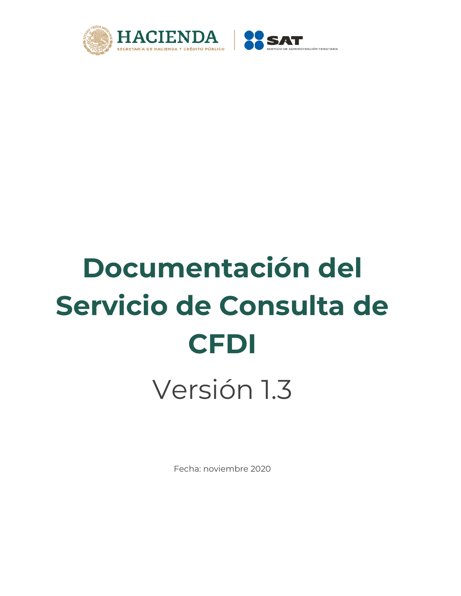



# **Documentación del Servicio de Consulta de CFDI**

Versión 1.3

Fecha: noviembre 2020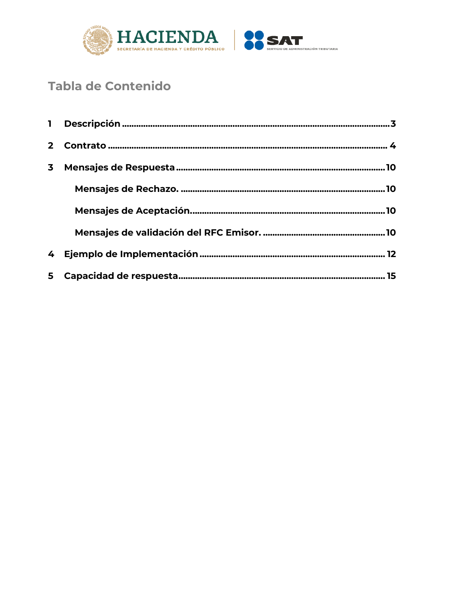

# **Tabla de Contenido**

| $\overline{\mathbf{3}}$ |  |
|-------------------------|--|
|                         |  |
|                         |  |
|                         |  |
|                         |  |
|                         |  |
|                         |  |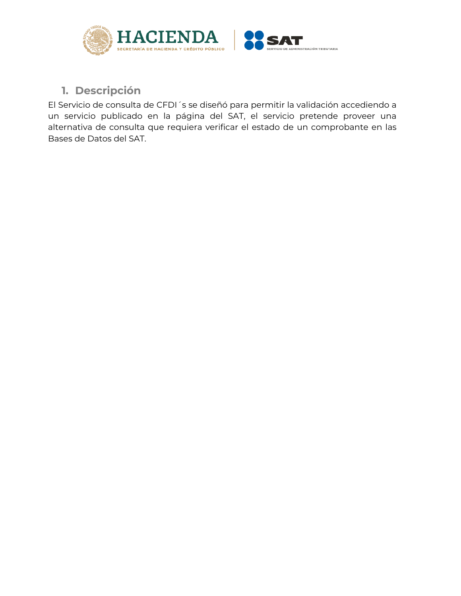

# <span id="page-2-0"></span>**1. Descripción**

El Servicio de consulta de CFDI´s se diseñó para permitir la validación accediendo a un servicio publicado en la página del SAT, el servicio pretende proveer una alternativa de consulta que requiera verificar el estado de un comprobante en las Bases de Datos del SAT.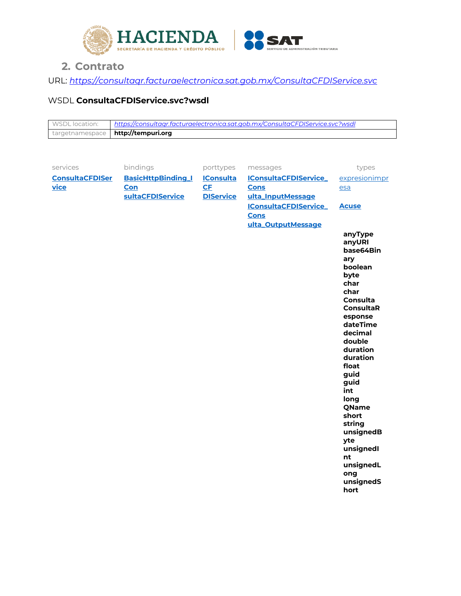

# **2. Contrato**

<span id="page-3-0"></span>URL: *<https://consultaqr.facturaelectronica.sat.gob.mx/ConsultaCFDIService.svc>*

# WSDL **ConsultaCFDIService.svc?wsdl**

| WSDL location: | https://consultaar.facturaelectronica.sat.aob.mx/ConsultaCFDIService.svc?wsdl |
|----------------|-------------------------------------------------------------------------------|
|                | targetnamespace   http://tempuri.org                                          |

| bindings<br>services<br>porttypes<br>messages                                                           | types                          |
|---------------------------------------------------------------------------------------------------------|--------------------------------|
| <b>BasicHttpBinding_I</b><br><b>ConsultaCFDISer</b><br><b>IConsulta</b><br><b>IConsultaCFDIService_</b> | expresionimpr                  |
| CF<br>vice<br>Con<br><b>Cons</b>                                                                        | esa                            |
| sultaCFDIService<br><b>DIService</b><br>ulta_InputMessage                                               |                                |
| <b>IConsultaCFDIService_</b><br><b>Cons</b>                                                             | <b>Acuse</b>                   |
| ulta_OutputMessage                                                                                      |                                |
|                                                                                                         | anyType<br>anyURI<br>base64Bin |
|                                                                                                         | ary                            |
|                                                                                                         | boolean                        |
|                                                                                                         | byte<br>char                   |
|                                                                                                         | char                           |
|                                                                                                         | Consulta                       |
|                                                                                                         | <b>ConsultaR</b>               |
|                                                                                                         | esponse<br>dateTime            |
|                                                                                                         | decimal                        |
|                                                                                                         | double                         |
|                                                                                                         | duration                       |
|                                                                                                         | duration<br>float              |
|                                                                                                         | guid                           |
|                                                                                                         | guid                           |
|                                                                                                         | int                            |
|                                                                                                         | long<br>QName                  |
|                                                                                                         | short                          |
|                                                                                                         | string                         |
|                                                                                                         | unsignedB                      |
|                                                                                                         | yte<br>unsignedl               |
|                                                                                                         | nt                             |
|                                                                                                         | unsignedL                      |
|                                                                                                         | ong                            |
|                                                                                                         | unsignedS<br>hort              |
|                                                                                                         |                                |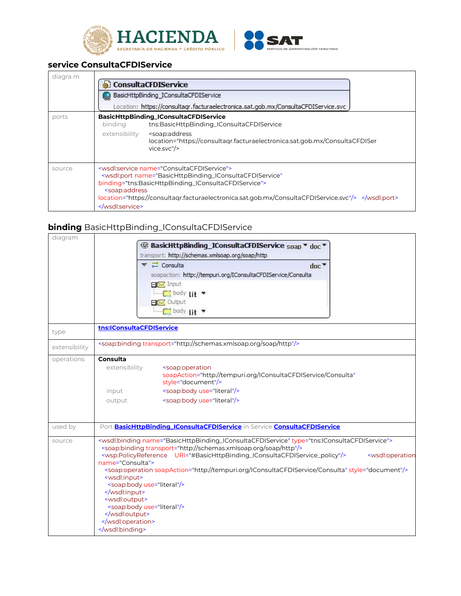



#### <span id="page-4-0"></span>**service ConsultaCFDIService**

| diagra m | ConsultaCFDIService<br>BasicHttpBinding_IConsultaCFDIService<br>Location: https://consultagr.facturaelectronica.sat.gob.mx/ConsultaCFDIService.svc                                                                                                                                                                                    |
|----------|---------------------------------------------------------------------------------------------------------------------------------------------------------------------------------------------------------------------------------------------------------------------------------------------------------------------------------------|
| ports    | BasicHttpBinding_IConsultaCFDIService<br>tns:BasicHttpBinding_IConsultaCFDIService<br>binding<br>extensibility<br><soap:address<br>location="https://consultagr.facturaelectronica.sat.gob.mx/ConsultaCFDISer<br/>vice.svc''/&gt;</soap:address<br>                                                                                   |
| source   | <wsdl:service name="ConsultaCFDIService"><br/><wsdl:port <br="" name="BasicHttpBinding_IConsultaCFDIService">binding="tns:BasicHttpBinding_IConsultaCFDIService"&gt;<br/><soap:address<br>location="https://consultagr.facturaelectronica.sat.gob.mx/ConsultaCFDIService.svc"/&gt; </soap:address<br></wsdl:port><br/></wsdl:service> |

# <span id="page-4-1"></span>**binding** BasicHttpBinding\_IConsultaCFDIService

| diagram       |                                                                                                                                                               |
|---------------|---------------------------------------------------------------------------------------------------------------------------------------------------------------|
|               | <sup>4</sup> BasicHttpBinding_IConsultaCFDIService soap ▼ doc                                                                                                 |
|               | transport: http://schemas.xmlsoap.org/soap/http                                                                                                               |
|               | $\blacktriangledown$ $\rightleftarrows$ Consulta<br>$d$ nc $\overline{\phantom{a}}$                                                                           |
|               | soapaction: http://tempuri.org/IConsultaCFDIService/Consulta                                                                                                  |
|               | $EX$ Input                                                                                                                                                    |
|               | $\Box$ body lit                                                                                                                                               |
|               | $E(X)$ Output                                                                                                                                                 |
|               | <b>C</b> body Lit                                                                                                                                             |
|               |                                                                                                                                                               |
| type          | tns: IConsultaCFDIService                                                                                                                                     |
| extensibility | <soap:binding transport="http://schemas.xmlsoap.org/soap/http"></soap:binding>                                                                                |
| operations    | Consulta                                                                                                                                                      |
|               | extensibility<br><soap:operation< th=""></soap:operation<>                                                                                                    |
|               | soapAction="http://tempuri.org/IConsultaCFDIService/Consulta"<br>style="document"/>                                                                           |
|               | <soap:body use="literal"></soap:body><br>input                                                                                                                |
|               | <soap:body use="literal"></soap:body><br>output                                                                                                               |
|               |                                                                                                                                                               |
|               |                                                                                                                                                               |
| used by       | Port <b>BasicHttpBinding_IConsultaCFDIService</b> in Service <b>ConsultaCFDIService</b>                                                                       |
| source        | <wsdl:binding name="BasicHttpBinding_IConsultaCFDIService" type="tns:IConsultaCFDIService"></wsdl:binding>                                                    |
|               | <soap:binding transport="http://schemas.xmlsoap.org/soap/http"></soap:binding>                                                                                |
|               | <wsp:policyreference uri="#BasicHttpBinding_IConsultaCFDIService_policy"></wsp:policyreference><br><wsdl:operation<br>name="Consulta"&gt;</wsdl:operation<br> |
|               | <soap:operation soapaction="http://tempuri.org/IConsultaCFDIService/Consulta" style="document"></soap:operation>                                              |
|               | <wsdl:input></wsdl:input>                                                                                                                                     |
|               | <soap:body use="literal"></soap:body>                                                                                                                         |
|               | <br><wsdl:output></wsdl:output>                                                                                                                               |
|               | <soap:body use="literal"></soap:body>                                                                                                                         |
|               |                                                                                                                                                               |
|               |                                                                                                                                                               |
|               |                                                                                                                                                               |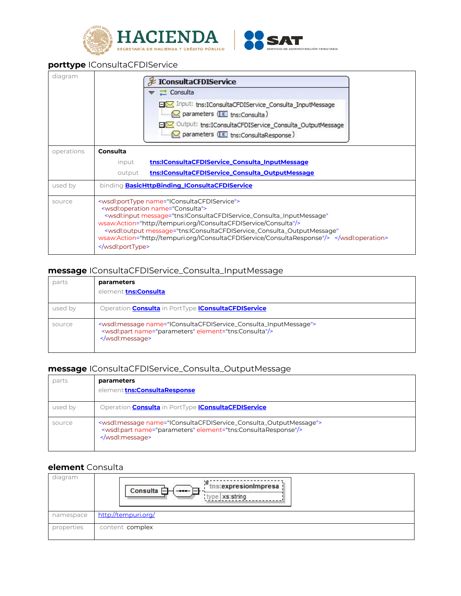



#### <span id="page-5-0"></span>**porttype** IConsultaCFDIService

| diagram    | <b>EX IConsultaCFDIService</b><br><b>こ</b> Consulta<br>□区 Input: tns:IConsultaCFDIService_Consulta_InputMessage<br>parameters (E ths:Consulta)<br>日区 Output: tns:IConsultaCFDIService_Consulta_OutputMessage                                                                                                                                                                                                                                                         |
|------------|----------------------------------------------------------------------------------------------------------------------------------------------------------------------------------------------------------------------------------------------------------------------------------------------------------------------------------------------------------------------------------------------------------------------------------------------------------------------|
|            | $\mathbb{Z}$ parameters ( $E$ tns:ConsultaResponse)                                                                                                                                                                                                                                                                                                                                                                                                                  |
| operations | Consulta                                                                                                                                                                                                                                                                                                                                                                                                                                                             |
|            | tns: IConsulta CFDIService_Consulta_InputMessage<br>input                                                                                                                                                                                                                                                                                                                                                                                                            |
|            | tns:IConsultaCFDIService_Consulta_OutputMessage<br>output                                                                                                                                                                                                                                                                                                                                                                                                            |
| used by    | binding <b>BasicHttpBinding_IConsultaCFDIService</b>                                                                                                                                                                                                                                                                                                                                                                                                                 |
| source     | <wsdl:porttype name="IConsultaCFDIService"><br/><wsdl:operation name="Consulta"><br/><wsdl:input <br="" message="tns:IConsultaCFDIService_Consulta_InputMessage">wsaw:Action="http://tempuri.org/IConsultaCFDIService/Consulta"/&gt;<br/><wsdl:output <br="" message="tns:IConsultaCFDIService_Consulta_OutputMessage">wsaw:Action="http://tempuri.org/IConsultaCFDIService/ConsultaResponse"/&gt; </wsdl:output></wsdl:input></wsdl:operation><br/></wsdl:porttype> |

#### <span id="page-5-1"></span>**message** IConsultaCFDIService\_Consulta\_InputMessage

| parts   | parameters<br>element tns:Consulta                                                                                                                        |
|---------|-----------------------------------------------------------------------------------------------------------------------------------------------------------|
| used by | Operation <b>Consulta</b> in PortType <i>IConsultaCFDIService</i>                                                                                         |
| source  | <wsdl:message name="IConsultaCFDIService_Consulta_InputMessage"><br/><wsdl:part element="tns:Consulta" name="parameters"></wsdl:part><br/></wsdl:message> |

#### <span id="page-5-3"></span>**message** IConsultaCFDIService\_Consulta\_OutputMessage

| parts   | parameters<br>element tns: Consulta Response                                                                                                                       |
|---------|--------------------------------------------------------------------------------------------------------------------------------------------------------------------|
| used by | Operation <b>Consulta</b> in PortType <i>IConsultaCFDIService</i>                                                                                                  |
| source  | <wsdl:message name="IConsultaCFDIService_Consulta_OutputMessage"><br/><wsdl:part element="tns:ConsultaResponse" name="parameters"></wsdl:part><br/></wsdl:message> |

#### <span id="page-5-2"></span>**element** Consulta

| diagram    | $ \overline{\phantom{a}}^{\phantom{\ast}}$ tns: expresion Impresa<br>Consulta $\Box$<br>- - - - - - -<br>type xs:string |
|------------|-------------------------------------------------------------------------------------------------------------------------|
| namespace  | http://tempuri.org/                                                                                                     |
| properties | content complex                                                                                                         |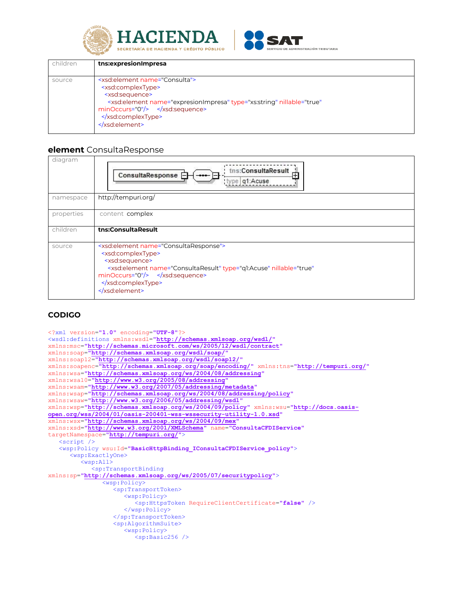



| children | tns: expresion Impresa                                                                                                                                                                                                                                                                          |
|----------|-------------------------------------------------------------------------------------------------------------------------------------------------------------------------------------------------------------------------------------------------------------------------------------------------|
| source   | <xsd:element name="Consulta"><br/><xsd:complextype><br/><xsd:sequence><br/><xsd:element <br="" name="expresionImpresa" nillable="true" type="xs:string"><math>minOccurs="0"</math>/&gt; </xsd:element></xsd:sequence><br/></xsd:complextype><br/><math>\le</math>/xsd:element&gt;</xsd:element> |

#### <span id="page-6-0"></span>**element** ConsultaResponse

| diagram    | tns:ConsultaResult<br>中<br>ConsultaResponse E<br>type   q1:Acuse                                                                                                                                                                                        |
|------------|---------------------------------------------------------------------------------------------------------------------------------------------------------------------------------------------------------------------------------------------------------|
| namespace  | http://tempuri.org/                                                                                                                                                                                                                                     |
| properties | content complex                                                                                                                                                                                                                                         |
| children   | tns:ConsultaResult                                                                                                                                                                                                                                      |
| source     | <xsd:element name="ConsultaResponse"><br/><xsd:complextype><br/><xsd:sequence><br/><xsd:element <br="" name="ConsultaResult" nillable="true" type="q1:Acuse">minOccurs="0"/&gt; </xsd:element></xsd:sequence><br/></xsd:complextype><br/></xsd:element> |

#### **CODIGO**

```
<?xml version="1.0" encoding="UTF-8"?>
<wsdl:definitions xmlns:wsdl="http://schemas.xmlsoap.org/wsdl/"
xmlns:msc="http://schemas.microsoft.com/ws/2005/12/wsdl/contract"
xmlns:soap="http://schemas.xmlsoap.org/wsdl/soap/"
xmlns:soap12="http://schemas.xmlsoap.org/wsdl/soap12/"
xmlns:soapenc="http://schemas.xmlsoap.org/soap/encoding/" xmlns:tns="http://tempuri.org/"
xmlns:wsa="http://schemas.xmlsoap.org/ws/2004/08/addressing"
xmlns:wsa10="http://www.w3.org/2005/08/addressing"
xmlns:wsam="http://www.w3.org/2007/05/addressing/metadata"
xmlns:wsap="http://schemas.xmlsoap.org/ws/2004/08/addressing/policy"
xmlns:wsaw="http://www.w3.org/2006/05/addressing/wsdl"
xmlns:wsp="http://schemas.xmlsoap.org/ws/2004/09/policy" xmlns:wsu="http://docs.oasis-
open.org/wss/2004/01/oasis-200401-wss-wssecurity-utility-1.0.xsd"
xmlns:wsx="http://schemas.xmlsoap.org/ws/2004/09/mex"
xmlns:xsd="http://www.w3.org/2001/XMLSchema" name="ConsultaCFDIService"
targetNamespace="http://tempuri.org/">
    <script />
    <wsp:Policy wsu:Id="BasicHttpBinding_IConsultaCFDIService_policy">
       <wsp:ExactlyOne>
          <wsp:All>
             <sp:TransportBinding
xmlns:sp="http://schemas.xmlsoap.org/ws/2005/07/securitypolicy">
                <wsp:Policy>
                   <sp:TransportToken>
                      <wsp:Policy>
                         <sp:HttpsToken RequireClientCertificate="false" />
                      </wsp:Policy>
                   </sp:TransportToken>
                  <sp:AlgorithmSuite>
                      <wsp:Policy>
                         <sp:Basic256 />
```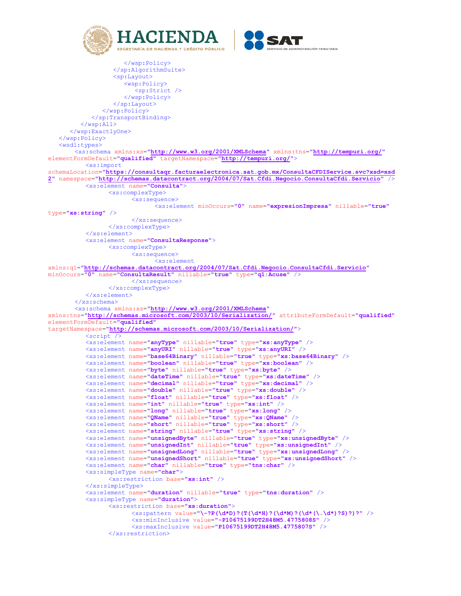



```
 </wsp:Policy>
                   </sp:AlgorithmSuite>
                  <sp:Layout>
                      <wsp:Policy>
                         <sp:Strict />
                      </wsp:Policy>
                   </sp:Layout>
                </wsp:Policy>
             </sp:TransportBinding>
          </wsp:All>
       </wsp:ExactlyOne>
    </wsp:Policy>
    <wsdl:types>
       <xs:schema xmlns:xs="http://www.w3.org/2001/XMLSchema" xmlns:tns="http://tempuri.org/"
elementFormDefault="qualified" targetNamespace="http://tempuri.org/">
           <xs:import
schemaLocation="https://consultaqr.facturaelectronica.sat.gob.mx/ConsultaCFDIService.svc?xsd=xsd
2" namespace="http://schemas.datacontract.org/2004/07/Sat.Cfdi.Negocio.ConsultaCfdi.Servicio" />
           <xs:element name="Consulta">
                  <xs:complexType>
                       <xs:sequence>
                              <xs:element minOccurs="0" name="expresionImpresa" nillable="true"
type="xs:string" />
                       </xs:sequence>
                  </xs:complexType>
           </xs:element>
           <xs:element name="ConsultaResponse">
                  <xs:complexType>
                       <xs:sequence>
                             <xs:element
xmlns:q1="http://schemas.datacontract.org/2004/07/Sat.Cfdi.Negocio.ConsultaCfdi.Servicio"
minOccurs="0" name="ConsultaResult" nillable="true" type="q1:Acuse" />
                       </xs:sequence>
                  </xs:complexType>
           </xs:element>
       </xs:schema>
       <xs:schema xmlns:xs="http://www.w3.org/2001/XMLSchema"
xmlns:tns="http://schemas.microsoft.com/2003/10/Serialization/" attributeFormDefault="qualified"
elementFormDefault="qualified"
targetNamespace="http://schemas.microsoft.com/2003/10/Serialization/">
           <script />
           <xs:element name="anyType" nillable="true" type="xs:anyType" />
           <xs:element name="anyURI" nillable="true" type="xs:anyURI" />
           <xs:element name="base64Binary" nillable="true" type="xs:base64Binary" />
           <xs:element name="boolean" nillable="true" type="xs:boolean" />
           <xs:element name="byte" nillable="true" type="xs:byte" />
           <xs:element name="dateTime" nillable="true" type="xs:dateTime" />
           <xs:element name="decimal" nillable="true" type="xs:decimal" />
           <xs:element name="double" nillable="true" type="xs:double" />
           <xs:element name="float" nillable="true" type="xs:float" />
           <xs:element name="int" nillable="true" type="xs:int" />
           <xs:element name="long" nillable="true" type="xs:long" />
           <xs:element name="QName" nillable="true" type="xs:QName" />
           <xs:element name="short" nillable="true" type="xs:short" />
           <xs:element name="string" nillable="true" type="xs:string" />
           <xs:element name="unsignedByte" nillable="true" type="xs:unsignedByte" />
           <xs:element name="unsignedInt" nillable="true" type="xs:unsignedInt" />
           <xs:element name="unsignedLong" nillable="true" type="xs:unsignedLong" />
           <xs:element name="unsignedShort" nillable="true" type="xs:unsignedShort" />
           <xs:element name="char" nillable="true" type="tns:char" />
           <xs:simpleType name="char">
                  <xs:restriction base="xs:int" />
           </xs:simpleType>
           <xs:element name="duration" nillable="true" type="tns:duration" />
           <xs:simpleType name="duration">
                  <xs:restriction base="xs:duration">
                        <xs:pattern value="\-?P(\d*D)?(T(\d*H)?(\d*M)?(\d*(\.\d*)?S)?)?" />
                       <xs:minInclusive value="-P10675199DT2H48M5.4775808S" />
                       <xs:maxInclusive value="P10675199DT2H48M5.4775807S" />
                  </xs:restriction>
```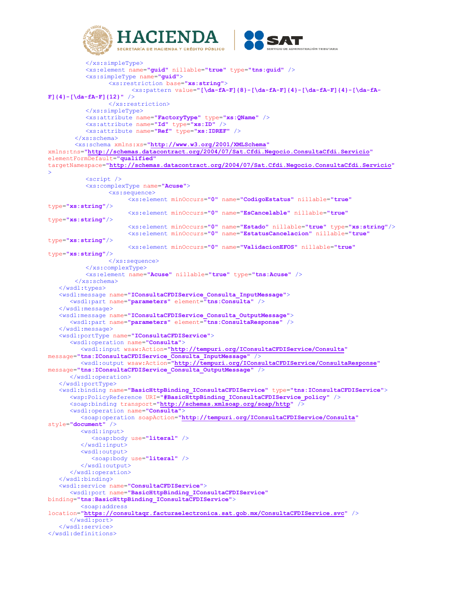



```
 </xs:simpleType>
           <xs:element name="guid" nillable="true" type="tns:guid" />
           <xs:simpleType name="guid">
                  <xs:restriction base="xs:string">
                       <xs:pattern value="[\da-fA-F]{8}-[\da-fA-F]{4}-[\da-fA-F]{4}-[\da-fA-F]}
F]{4}-[\da-fA-F]{12}" />
                  </xs:restriction>
           </xs:simpleType>
           <xs:attribute name="FactoryType" type="xs:QName" />
           <xs:attribute name="Id" type="xs:ID" />
           <xs:attribute name="Ref" type="xs:IDREF" />
       </xs:schema>
       <xs:schema xmlns:xs="http://www.w3.org/2001/XMLSchema"
xmlns:tns="http://schemas.datacontract.org/2004/07/Sat.Cfdi.Negocio.ConsultaCfdi.Servicio"
elementFormDefault="qualified"
targetNamespace="http://schemas.datacontract.org/2004/07/Sat.Cfdi.Negocio.ConsultaCfdi.Servicio"
>
           <script />
           <xs:complexType name="Acuse">
                  <xs:sequence>
                      <xs:element minOccurs="0" name="CodigoEstatus" nillable="true"
type="xs:string"/>
                      <xs:element minOccurs="0" name="EsCancelable" nillable="true"
type="xs:string"/>
                      <xs:element minOccurs="0" name="Estado" nillable="true" type="xs:string"/>
                      <xs:element minOccurs="0" name="EstatusCancelacion" nillable="true"
type="xs:string"/>
                      <xs:element minOccurs="0" name="ValidacionEFOS" nillable="true"
type="xs:string"/>
                  </xs:sequence>
           </xs:complexType>
           <xs:element name="Acuse" nillable="true" type="tns:Acuse" />
       </xs:schema>
    </wsdl:types>
    <wsdl:message name="IConsultaCFDIService_Consulta_InputMessage">
       <wsdl:part name="parameters" element="tns:Consulta" />
    </wsdl:message>
    <wsdl:message name="IConsultaCFDIService_Consulta_OutputMessage">
       <wsdl:part name="parameters" element="tns:ConsultaResponse" />
    </wsdl:message>
    <wsdl:portType name="IConsultaCFDIService">
       <wsdl:operation name="Consulta">
          <wsdl:input wsaw:Action="http://tempuri.org/IConsultaCFDIService/Consulta"
message="tns:IConsultaCFDIService_Consulta_InputMessage" />
          <wsdl:output wsaw:Action="http://tempuri.org/IConsultaCFDIService/ConsultaResponse"
message="tns:IConsultaCFDIService_Consulta_OutputMessage" />
       </wsdl:operation>
    </wsdl:portType>
    <wsdl:binding name="BasicHttpBinding_IConsultaCFDIService" type="tns:IConsultaCFDIService">
       <wsp:PolicyReference URI="#BasicHttpBinding_IConsultaCFDIService_policy" />
       <soap:binding transport="http://schemas.xmlsoap.org/soap/http" />
       <wsdl:operation name="Consulta">
          <soap:operation soapAction="http://tempuri.org/IConsultaCFDIService/Consulta"
style="document" />
          <wsdl:input>
             <soap:body use="literal" />
          </wsdl:input>
          <wsdl:output>
             <soap:body use="literal" />
          </wsdl:output>
       </wsdl:operation>
    </wsdl:binding>
    <wsdl:service name="ConsultaCFDIService">
       <wsdl:port name="BasicHttpBinding_IConsultaCFDIService"
binding="tns:BasicHttpBinding_IConsultaCFDIService">
          <soap:address
location="https://consultaqr.facturaelectronica.sat.gob.mx/ConsultaCFDIService.svc" />
       </wsdl:port>
    </wsdl:service>
</wsdl:definitions>
```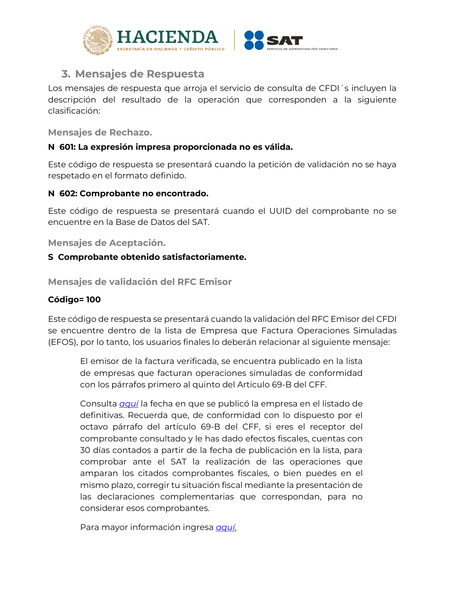

# <span id="page-9-0"></span>**3. Mensajes de Respuesta**

Los mensajes de respuesta que arroja el servicio de consulta de CFDI sincluyen la descripción del resultado de la operación que corresponden a la siguiente clasificación:

<span id="page-9-1"></span>**Mensajes de Rechazo.** 

#### **N 601: La expresión impresa proporcionada no es válida.**

Este código de respuesta se presentará cuando la petición de validación no se haya respetado en el formato definido.

#### **N 602: Comprobante no encontrado.**

Este código de respuesta se presentará cuando el UUID del comprobante no se encuentre en la Base de Datos del SAT.

<span id="page-9-2"></span>**Mensajes de Aceptación.** 

## **S Comprobante obtenido satisfactoriamente.**

**Mensajes de validación del RFC Emisor**

## **Código= 100**

Este código de respuesta se presentará cuando la validación del RFC Emisor del CFDI se encuentre dentro de la lista de Empresa que Factura Operaciones Simuladas (EFOS), por lo tanto, los usuarios finales lo deberán relacionar al siguiente mensaje:

El emisor de la factura verificada, se encuentra publicado en la lista de empresas que facturan operaciones simuladas de conformidad con los párrafos primero al quinto del Artículo 69-B del CFF.

Consulta *[aquí](http://omawww.sat.gob.mx/cifras_sat/Paginas/datos/vinculo.html?page=ListCompleta69B.html)* la fecha en que se publicó la empresa en el listado de definitivas. Recuerda que, de conformidad con lo dispuesto por el octavo párrafo del artículo 69-B del CFF, si eres el receptor del comprobante consultado y le has dado efectos fiscales, cuentas con 30 días contados a partir de la fecha de publicación en la lista, para comprobar ante el SAT la realización de las operaciones que amparan los citados comprobantes fiscales, o bien puedes en el mismo plazo, corregir tu situación fiscal mediante la presentación de las declaraciones complementarias que correspondan, para no considerar esos comprobantes.

Para mayor información ingresa *[aquí.](https://www.sat.gob.mx/consultas/76675/consulta-la-relacion-de-contribuyentes-que-realizan-operaciones-inexistentes)*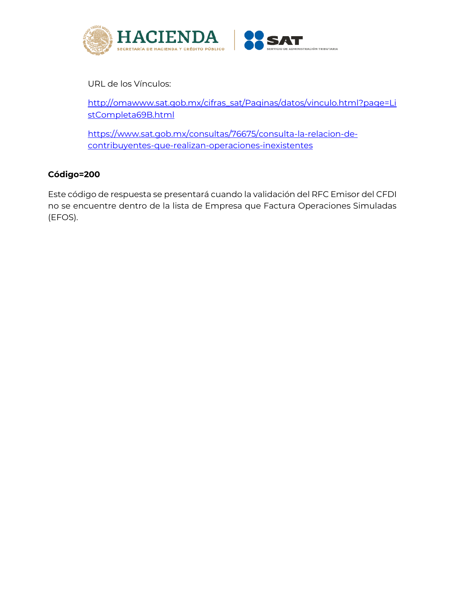

URL de los Vínculos:

[http://omawww.sat.gob.mx/cifras\\_sat/Paginas/datos/vinculo.html?page=Li](http://omawww.sat.gob.mx/cifras_sat/Paginas/datos/vinculo.html?page=ListCompleta69B.html) [stCompleta69B.html](http://omawww.sat.gob.mx/cifras_sat/Paginas/datos/vinculo.html?page=ListCompleta69B.html)

[https://www.sat.gob.mx/consultas/76675/consulta-la-relacion-de](https://www.sat.gob.mx/consultas/76675/consulta-la-relacion-de-contribuyentes-que-realizan-operaciones-inexistentes)[contribuyentes-que-realizan-operaciones-inexistentes](https://www.sat.gob.mx/consultas/76675/consulta-la-relacion-de-contribuyentes-que-realizan-operaciones-inexistentes)

# **Código=200**

Este código de respuesta se presentará cuando la validación del RFC Emisor del CFDI no se encuentre dentro de la lista de Empresa que Factura Operaciones Simuladas (EFOS).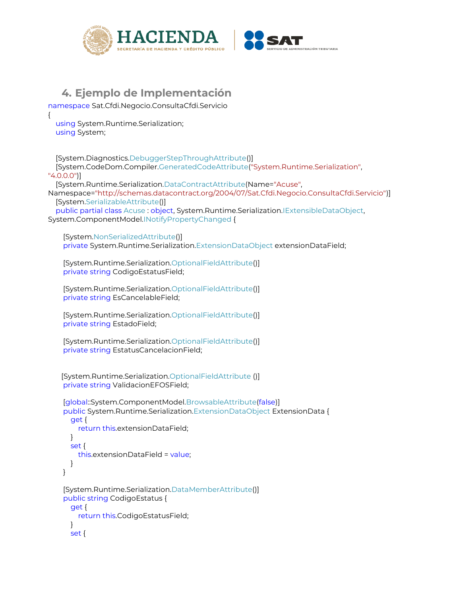

# **4. Ejemplo de Implementación**

```
namespace Sat.Cfdi.Negocio.ConsultaCfdi.Servicio
```

```
 using System.Runtime.Serialization;
 using System;
```
{

 [System.Diagnostics.DebuggerStepThroughAttribute()] [System.CodeDom.Compiler.GeneratedCodeAttribute("System.Runtime.Serialization", "4.0.0.0")] [System.Runtime.Serialization.DataContractAttribute(Name="Acuse", Namespace="http://schemas.datacontract.org/2004/07/Sat.Cfdi.Negocio.ConsultaCfdi.Servicio")] [System.SerializableAttribute()] public partial class Acuse : object, System.Runtime.Serialization.IExtensibleDataObject, System.ComponentModel.INotifyPropertyChanged { [System.NonSerializedAttribute()]

private System.Runtime.Serialization.ExtensionDataObject extensionDataField;

 [System.Runtime.Serialization.OptionalFieldAttribute()] private string CodigoEstatusField;

 [System.Runtime.Serialization.OptionalFieldAttribute()] private string EsCancelableField;

```
 [System.Runtime.Serialization.OptionalFieldAttribute()]
 private string EstadoField;
```

```
 [System.Runtime.Serialization.OptionalFieldAttribute()]
 private string EstatusCancelacionField;
```

```
 [System.Runtime.Serialization.OptionalFieldAttribute ()]
 private string ValidacionEFOSField;
```

```
 [global::System.ComponentModel.BrowsableAttribute(false)]
 public System.Runtime.Serialization.ExtensionDataObject ExtensionData {
   get {
     return this.extensionDataField;
   }
   set {
     this.extensionDataField = value;
   }
 }
 [System.Runtime.Serialization.DataMemberAttribute()]
 public string CodigoEstatus {
   get {
     return this.CodigoEstatusField;
   }
   set {
```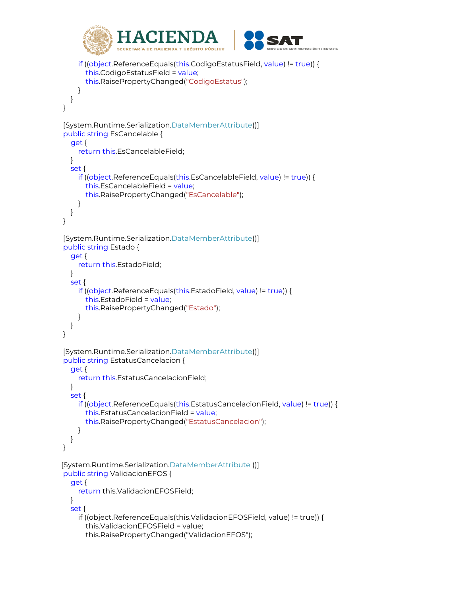

```
 if ((object.ReferenceEquals(this.CodigoEstatusField, value) != true)) {
        this.CodigoEstatusField = value;
       this.RaisePropertyChanged("CodigoEstatus");
     }
   }
 }
 [System.Runtime.Serialization.DataMemberAttribute()]
 public string EsCancelable {
   get {
     return this.EsCancelableField;
   }
   set {
     if ((object.ReferenceEquals(this.EsCancelableField, value) != true)) {
       this.EsCancelableField = value;
       this.RaisePropertyChanged("EsCancelable");
     }
   }
 }
 [System.Runtime.Serialization.DataMemberAttribute()]
 public string Estado {
   get {
     return this.EstadoField;
   }
   set {
     if ((object.ReferenceEquals(this.EstadoField, value) != true)) {
       this.EstadoField = value;
       this.RaisePropertyChanged("Estado");
     }
   }
 }
 [System.Runtime.Serialization.DataMemberAttribute()]
 public string EstatusCancelacion {
   get {
     return this.EstatusCancelacionField;
   }
   set {
     if ((object.ReferenceEquals(this.EstatusCancelacionField, value) != true)) {
       this.EstatusCancelacionField = value;
       this.RaisePropertyChanged("EstatusCancelacion");
     }
   }
 }
 [System.Runtime.Serialization.DataMemberAttribute ()]
 public string ValidacionEFOS {
   get {
     return this.ValidacionEFOSField;
   }
   set {
     if ((object.ReferenceEquals(this.ValidacionEFOSField, value) != true)) {
       this.ValidacionEFOSField = value;
        this.RaisePropertyChanged("ValidacionEFOS");
```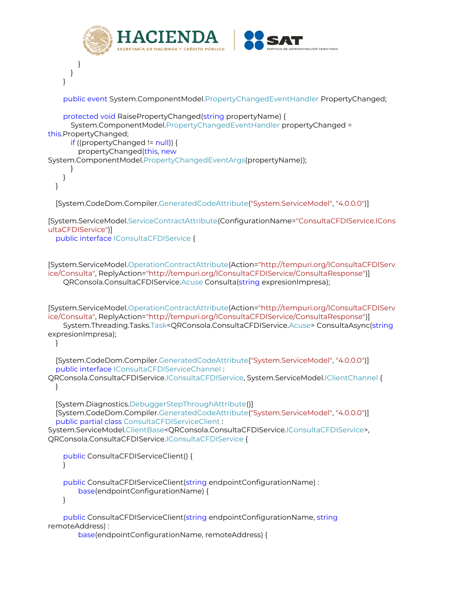```
CIEND
                  SECRETARÍA DE HACIENDA Y CRÉDITO RÚBLICO
                                                                    TRACIÓN TRIBUTARIA
        }
      }
    }
     public event System.ComponentModel.PropertyChangedEventHandler PropertyChanged;
     protected void RaisePropertyChanged(string propertyName) {
       System.ComponentModel.PropertyChangedEventHandler propertyChanged = 
this.PropertyChanged;
       if ((propertyChanged != null)) {
         propertyChanged(this, new
System.ComponentModel.PropertyChangedEventArgs(propertyName));
      }
    }
  }
   [System.CodeDom.Compiler.GeneratedCodeAttribute("System.ServiceModel", "4.0.0.0")]
[System.ServiceModel.ServiceContractAttribute(ConfigurationName="ConsultaCFDIService.ICons
ultaCFDIService")]
   public interface IConsultaCFDIService {
[System.ServiceModel.OperationContractAttribute(Action="http://tempuri.org/IConsultaCFDIServ
ice/Consulta", ReplyAction="http://tempuri.org/IConsultaCFDIService/ConsultaResponse")]
     QRConsola.ConsultaCFDIService.Acuse Consulta(string expresionImpresa);
[System.ServiceModel.OperationContractAttribute(Action="http://tempuri.org/IConsultaCFDIServ
ice/Consulta", ReplyAction="http://tempuri.org/IConsultaCFDIService/ConsultaResponse")]
     System.Threading.Tasks.Task<QRConsola.ConsultaCFDIService.Acuse> ConsultaAsync(string
expresionImpresa);
 }
   [System.CodeDom.Compiler.GeneratedCodeAttribute("System.ServiceModel", "4.0.0.0")]
   public interface IConsultaCFDIServiceChannel : 
QRConsola.ConsultaCFDIService.IConsultaCFDIService, System.ServiceModel.IClientChannel {
  }
   [System.Diagnostics.DebuggerStepThroughAttribute()]
   [System.CodeDom.Compiler.GeneratedCodeAttribute("System.ServiceModel", "4.0.0.0")]
   public partial class ConsultaCFDIServiceClient : 
System.ServiceModel.ClientBase<QRConsola.ConsultaCFDIService.IConsultaCFDIService>, 
QRConsola.ConsultaCFDIService.IConsultaCFDIService {
     public ConsultaCFDIServiceClient() {
 }
     public ConsultaCFDIServiceClient(string endpointConfigurationName) : 
         base(endpointConfigurationName) {
     }
     public ConsultaCFDIServiceClient(string endpointConfigurationName, string
remoteAddress) : 
         base(endpointConfigurationName, remoteAddress) {
```